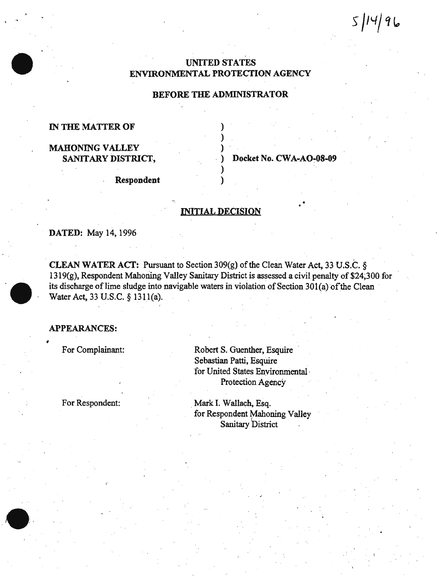$5|14|96$ 

# UNITED STATES ENVIRONMENTAL PROTECTION AGENCY

# BEFORE THE ADMINISTRATOR

) ) )

) )

## IN THE MATTER OF

# MAHONING VALLEY SANITARY DISTRICT,

Docket No. CWA-AO-08-09

•

. Respondent

# INITIAL DECISION

DATED: May 14, 1996

CLEAN WATER ACf: Pursuant to Section 309(g) of the Clean Water Act, 33 U.S.C. *§*   $1319(g)$ , Respondent Mahoning Valley Sanitary District is assessed a civil penalty of \$24,300 for its discharge of lime sludge into navigable waters in violation of Section 301(a) of the Clean Water Act, 33 U.S.C. § 131l(a).

## APPEARANCES:

'

For Complainant:

Robert S. Guenther, Esquire · Sebastian Patti, Esquire for United States Environmental · Protection Agency

For Respondent:

Mark I. Wallach, Esq. for Respondent Mahoning Valley Sanitary District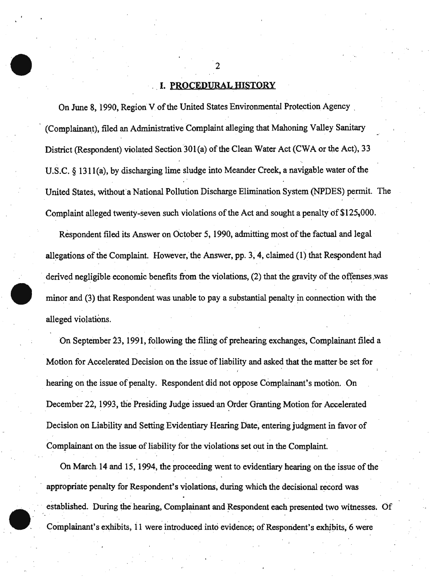### **I. PROCEDURAL HISTORY**

On June 8, 1990, Region V of the United States Environmental Protection Agency (Complainant), filed an Administrative Complaint alleging that Mahoning Valley Sanitary District (Respondent) violated Section 301(a) of the Clean Water Act (CWA or the Act), 33 U.S.C. § 13ll(a), by discharging lime sludge into Meander Creek, a navigable water of the United States, without a National Pollution Discharge Elimination System (NPDES) permit. The Complaint alleged twenty-seven such violations of the Act and sought a penalty of  $$125,000$ .

Respondent filed its Answer on October 5, 1990, admitting most of the factual and legal allegations of the Complaint. However, the Answer, pp. 3, 4, claimed  $(1)$  that Respondent had derived negligible economic benefits from the violations, (2) that the gravity of the offenses was minor and (3) that Respondent was unable to pay a substantial penalty in connection with the alleged violations.

On September 23, 1991, following the filing of prehearing exchanges, Complainant filed a Motion for Accelerated Decision on the issue of liability and asked that the matter be set for hearing on the issue of penalty. Respondent did not oppose Complainant's motion. On December 22, 1993, the Presiding Judge issued an Order Granting Motion for Accelerated Decision on Liability and Setting Evidentiary Hearing Date, entering judgment in favor of Complainant on the issue of liability for the violations set out in the Complaint.

On March.14 and 15, 1994, the proceeding went to evidentiary hearing on the issue of the appropriate penalty for Respondent's violations, during which the decisional record was established. During the hearing, Complainant and Respondent each presented two witnesses~ Of Complainant's exhibits, 11 were introduced into evidence; of Respondent's exhibits, 6 were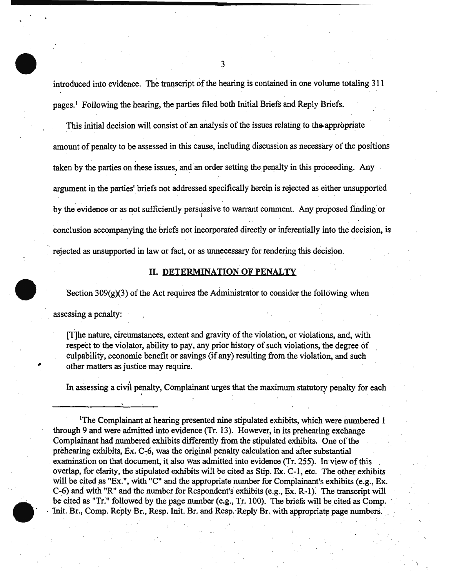introduced into evidence. The transcript of the hearing is contained in one volume totaling 311 pages. 1 Following the hearing, the parties filed both Initial Briefs and Reply Briefs.

This initial decision will consist of an analysis of the issues relating to the appropriate amount of penalty to be assessed in this cause, including discussion as necessary of the positions taken by the parties on these issues, and an order setting the penalty in this proceeding. Any argument in the parties' briefs not addressed specifically herein is rejected as either unsupported by the evidence or as not sufficiently persuasive to warrant comment. Any proposed finding or conclusion accompanying the briefs not incorporated directly or inferentially into the decision, is rejected as unsupported in law or fact, or as unnecessary for rendering this decision.

### II. DETERMINATION OF PENALTY

Section  $309(g)(3)$  of the Act requires the Administrator to consider the following when assessing a penalty:

[T]he nature, circumstances, extent and gravity of the violation, or violations, and, with respect to the violator, ability to pay, any prior history of such violations, the degree of culpabilitY, economic benefit or savings (if any) resulting from the violation, and such other matters as justice may require.

In assessing a civil penalty, Complainant urges that the maximum statutory penalty for each \ .

<sup>&</sup>lt;sup>1</sup>The Complainant at hearing presented nine stipulated exhibits, which were numbered 1 through 9 and were admitted into evidence (Tr. 13). However, in its prehearing exchange Complainant had numbered exhibits differently from the stipulated exhibits. One of the prehearing exhibits, Ex.  $C_5$ , was the original penalty calculation and after substantial examination on that document, it also was admitted into evidence (Tr. 255). In view of this overlap, for clarity, the stipulated exhibits will be cited as Stip. Ex. C-J, etc. The other exhibits will be cited as "Ex.", with "C" and the appropriate number for Complainant's exhibits (e.g., Ex. C-6) and with "R" and the number for Respondent's exhibits (e.g., Ex. R-1). The transcript will be cited as "Tr." followed by the page number (e.g., Tr. 100). The briefs will be cited as Comp. Init. Br., Comp. Reply Br., Resp. Init. Br. and Resp. Reply Br. with appropriate page numbers.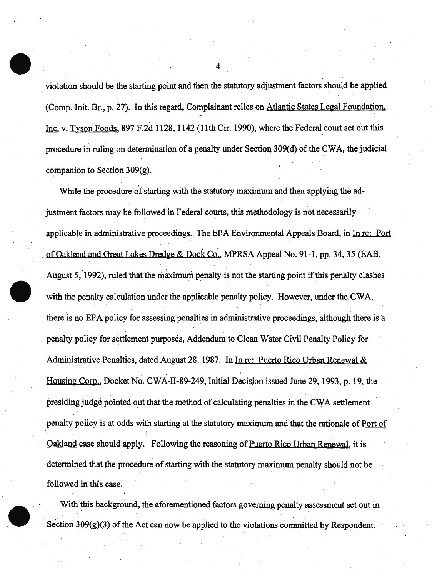violation should be the starting point and then the statutory adjustment factors should be applied (Comp. Init. Br., p. 27). In this regard, Complainant relies on Atlantic States Legal Foundation. Inc. v. Tyson Foods,  $897$  F.2d 1128, 1142 (11th Cir. 1990), where the Federal court set out this procedure in ruling on determination of a penalty under Section 309(d) of the CWA, the judicial companion to Section 309(g).

While the procedure of starting with the statutory maximum and then applying the adjustment factors may be followed in Federal courts, this methodology is not necessarily applicable in administrative proceedings. The EPA Environmental Appeals Board, in In re: Port of Oakland and Great Lakes Dredge & Dock Co., MPRSA Appeal No. 91-1, pp. 34, 35 (EAB, August 5, 1992), ruled that the maximum penalty is not the starting point if this penalty clashes with the penalty calculation under the applicable penalty policy. However, under the CWA, there 'is no EPA policy for assessing penalties in administrative proceedings, although there is a penalty policy for settlement purposes, Addendum to Clean Water Civil Penalty Policy for Administrative Penalties, dated August 28, 1987. In In re: Puerto Rico Urban Renewal & , Housing Corp., Docket No. CWA-II-89-249, Initial Decision issued June 29, 1993, p. 19, the . . presiding judge pointed out that the method of calculating penalties in the CWA settlement penalty policy is at odds with starting at the statutory maximum and that the rationale of Port of Oakland case should apply. Following the reasoning of Puerto Rico Urban Renewal, it is determined that the procedure of starting with the statutory maximum penalty should not be followed in this case.

With this background, the aforementioned factors governing penalty assessment set out in Section  $309(g)(3)$  of the Act can now be applied to the violations committed by Respondent.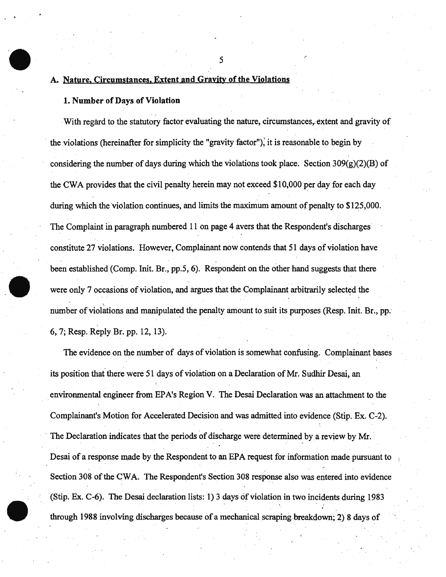#### A. Nature, Circumstances, Extent and Gravity of the Violations

#### 1. Number of Days of Violation

With regard to the statutory factor evaluating the nature, circumstances, extent and gravity of the violations (hereinafter for simplicity the "gravity factor"), it is reasonable to begin by considering the number of days during which the violations took place. Section  $309(g)(2)(B)$  of the CW A provides that the civil penalty herein may not exceed \$10,000 per day for each day during which the 'violation continues, and limits the maximum amount of penalty to \$125,000. The Complaint in paragraph numbered 11 on page 4 avers that the Respondent's discharges constitute 27 violations. However, Complainant now contends that 51 days of violation have been established (Comp. Init. Br., pp.5, 6). Respondent on the other hand suggests that there were only 7 occasions of violation, and argues that the Complainant arbitrarily selected the number of violations and manipulated the penalty amount to suit its purposes (Resp. Init. Br., pp. 6, 7; Resp. Reply Br. pp. 12, 13).

The evidence on the number of days of violation is somewhat confusing. Complainant bases its position that there were 51 days of violation on a Declaration of Mr. Sudhir Desai, an . environmental engineer from EPA's Region V. The Desai Declaration was an attachment to the Complainant's Motion for Accelerated Decision and was admitted into evidence (Stip. Ex. C-2). The Declaration indicates that the periods of discharge were determined by a review by Mr. Desai of a response made by the Respondent to an EPA request for information made pursuant to Section 308 of the CWA. The Respondent's Section 308 response also was entered into evidence (Stip. Ex. C-6). The Desai declaration lists: 1) 3 days of violation in two incidents during 1983 through 1988 involving discharges because of a mechanical scraping breakdown; 2) 8 days of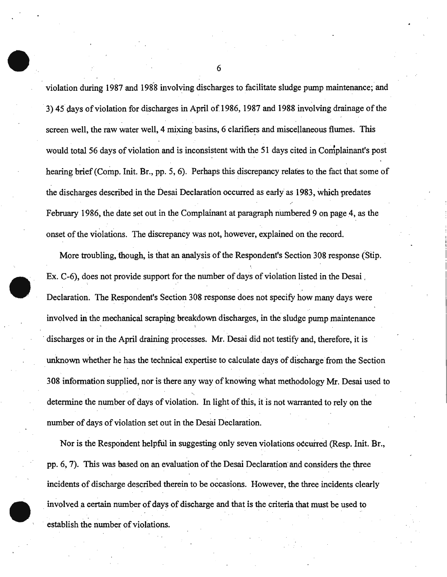violation during 1987 and 1988 involving discharges to facilitate sludge pump maintenance; and 3) 45 days of violation for discharges in April of 1986, 1987 and 1988 involving drainage of the screen well, the raw water well, 4 mixing basins, 6 clarifiers and miscellaneous flumes. This would total 56 days of violation and is inconsistent with the 51 days cited in Complainant's post hearing brief (Comp. Init. Br., pp. 5, 6). Perhaps this discrepancy relates to the fact that some of the discharges described in the Desai Declaration occurred as early as 1983, which predates February 1986, the date set out in the Complainant at paragraph numbered 9 on page 4, as the onset of the violations. The discrepancy was not, however, explained on the record.

More troubling, though, is that an analysis of the Respondent's Section 308 response (Stip. Ex. C-6), does not provide support for the number of days of violation listed in the Desai Declaration. The Respondent's Section 308 response does not specify how many days were involved in the mechanical scraping breakdown discharges, in the sludge pump maintenance discharges or in the April draining processes. Mr. Desai did not testify and, therefore, it is unknown whether he has the technical expertise to calculate days of discharge from the Section 308 information supplied, nor is there any way of knowing what methodology Mr. Desai used to determine the number of days of violation. In light of this, it is not warranted to rely on the nuniber of days of violation set out in the Desai Declaration.

Nor is the Respondent helpful in suggesting only seven violations occurred (Resp. Init. Br., pp. 6, 7). This was based on an evaluation of the Desai Declaration and considers the three incidents of discharge described therein to be occasions. However, the three incidents clearly involved a certain number of days of discharge and that is the criteria that must be used to establish the number of violations.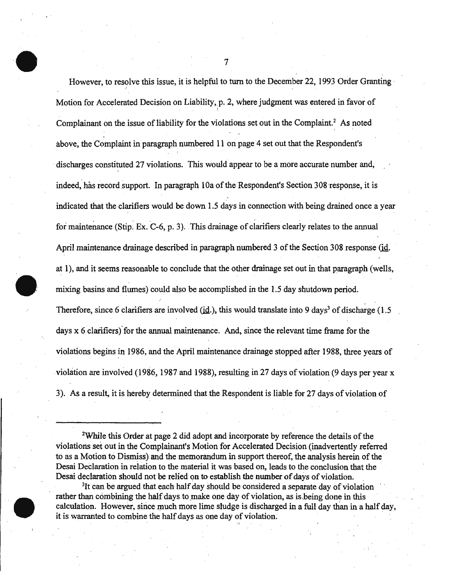However, to resolve this issue, it is helpful to turn to the December 22, 1993 Order Granting I Motion for Accelerated Decision on Liability, p. 2, where judgment was entered in favor of Complainant on the issue of liability for the violations set out in the Complaint.<sup>2</sup> As noted  $\mathbf{v} = \mathbf{v} \times \mathbf{v}$ above. the Complaint in paragraph numbered 11 on page 4 set out that the Respondent's discharges constituted 27 violations. This would appear to be a more accurate number and, indeed, has record support. In paragraph 10a of the Respondent's Section 308 response, it is indicated that the clarifiers would be down 1.5 days in connection with being drained once a year for maintenance (Stip. Ex. C-6, p. 3). This drainage of clarifiers clearly relates to the annual April maintenance drainage described in paragraph numbered 3 of the Section 308 response (id. at 1), and it seems reasonable to conclude that the other drainage set out in that paragraph (wells, mixing basins and flumes) could also be accomplished in the 1.5 day shutdown period. Therefore, since 6 clarifiers are involved (id.), this would translate into 9 days<sup>3</sup> of discharge (1.5) days  $x$  6 clarifiers) for the annual maintenance. And, since the relevant time frame for the violations begins in 1986, and the April maintenance drainage stopped after 1988, three years of violation are involved (1986, 1987 and 1988), resulting in 27 days of violation (9 days per year x 3). As a result, it is hereby determined that the Respondent is liable for 27 days of violation of

<sup>2</sup>While this Order at page 2 did adopt and incorporate by reference the details of the violations set out in the Complainant's Motion for Accelerated Decision (inadvertently referred to as a Motion to Dismiss) and the memorandum in support thereof, the analysis herein of the Desai DeClaration in relation to the material it was based on, leads to the conclusion that the Desai declaration should not be relied on to establish the number of days of violation.

<sup>3</sup>It can be argued that each half day should be considered a separate day of violation rather than combining the half days to make one day of violation, as is being done in this calculation. However, since much more lime sludge is discharged in a full day than in a half day, it is warranted to combine the half days as one day of violation.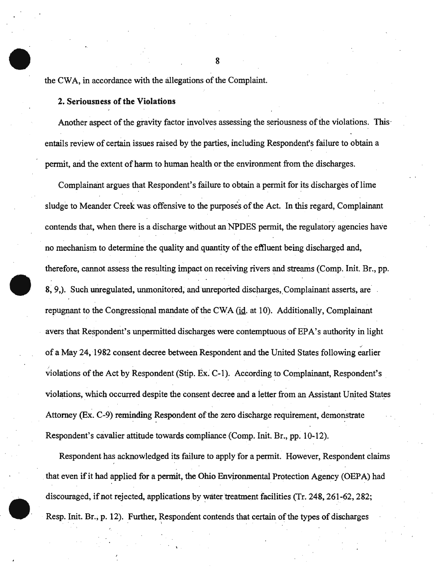the CWA, in accordance with the allegations of the Complaint.

### 2. Seriousness of the Violations

Another aspect of the gravity factor involves assessing the seriousness of the violations. This· entails review of certain issues raised by the parties, including Respondent's failure to obtain a permit, and the extent of harm to human health or the environment from the discharges.

Complainant argues that Respondent's failure to obtain a permit for its discharges of lime sludge to Meander Creek was offensive to the purposes of the Act. In this regard, Complainant contends that, when there is a discharge without an NPDES permit, the regulatory agencies have no mechanism to determine the quality and quantity of the effluent being discharged and, therefore, cannot assess the resulting impact on receiving rivers and streams (Comp. Init. Br., pp. 8, 9, Such unregulated, unmonitored, and unreported discharges, Complainant asserts, are repugnant to the Congressional mandate of the CWA ( $id$ . at 10). Additionally, Complainant avers that Respondent's unpermitted discharges were contemptuous of EPA's authority in light of a May 24, 1982 consent decree between Respondent and the United States following earlier violations of the Act by Respondent (Stip. Ex. C-1). According to Complainant, Respondent's violations, which occurred despite the consent decree and a letter from an Assistant United States Attorney (Ex. C-9) reminding Respondent of the zero discharge requirement, demonstrate Respondent's cavalier attitude towards compliance (Comp. Init. Br., pp. 10-12).

Respondent has acknowledged its failure to apply for a permit. However, Respondent claims that even if it had applied for a pemiit, the Ohio Environmental Protection Agency (OEPA) had discouraged, if not rejected, applications by water treatment facilities (Tr. 248, 261-62, 282; Resp. Init. Br., p. 12). Further, Respondent contends that certain of the types of discharges \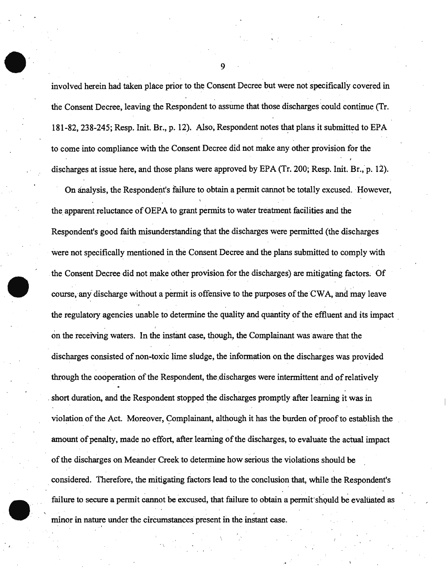involved herein had taken place prior to the Consent Decree but were not specifically covered in the Consent Decree, leaving the Respondent to assume that those discharges could continue (Tr. 181-82, 238-245; Resp. Init. Br., p. 12). Also, Respondent notes that plans it submitted to EPA to come into compliance with the Consent Decree did not make any other provision for the discharges at issue here, and those plans were approved by EPA (Tr. 200; Resp. Init. Br., p. 12).

On analysis, the Respondent's failure to obtain a permit cannot be totally excused. -However, the apparent reluctance of OEPA to grant permits to water treatment facilities and the Respondent's good faith misunderstanding that the discharges were permitted (the discharges were not specifically mentioned in the Consent Decree and the plans submitted to comply with the Consent Decree did not make other provision for the discharges) are mitigating factors. Of course, any discharge without a permit is offensive to the purposes of the CWA, and may leave the regulatory agencies unable to determine the quality and quantity of the effluent and its impact on the receiving waters. In the instant case, though, the Complainant was aware that the discharges consisted of non-toxic lime sludge, the information on the discharges was provided through the cooperation of the Respondent, the discharges were intermittent and of relatively short duration, and the Respondent stopped the discharges promptly after learning it was in violation of the Act. Moreover, Complainant, although it has the burden of proof to establish the amount of penalty, made no effort, after learning of the discharges, to evaluate the actual impact of the discharges on Meander Creek to determine how serious the violations should be . considered. Therefore, the mitigating factors lead to the conclusion that, while the Respondent's failure to secure a permit cannot be excused, that failure to obtain a permit should be evaluated as minor in nature under the circumstances present in the instant case.

. •.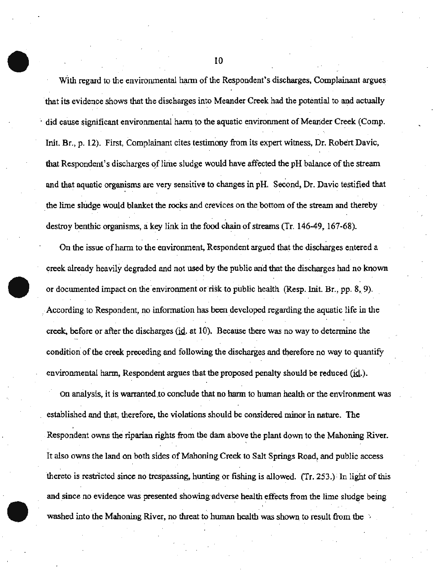With regard to the environmental harm of the Respondent's discharges, Complainant argues that its evidence shows that the discharges into Meander Creek had the potential to and actually did cause significant environmental harm to the aquatic environment of Meander Creek (Comp. Init. Br., p. 12). First, Complainant cites testimony from its expert witness, Dr. Robert Davie, that Respondent's discharges of lime sludge would have affected the pH balance of the stream and that aquatic organisms are very sensitive to changes in pH. Second, Dr. Davic testified that . . the lime sludge would blanket the rocks and crevices on the bottom of the stream and thereby destroy benthic organisms, a key link in the food chain of streams (Tr. 146-49, 167-68).

. As a set of the set of the set of the set of the set of the set of the set of the set of the set of the set of the set of the set of the set of the set of the set of the set of the set of the set of the set of the set o On the issue of harm to the environment, Respondent argued that the discharges entered a creek already heavily degraded and not used by the public arid that the discharges had no known or documented impact on the environment or risk to public health (Resp. Init. Br., pp. 8, 9). According to Respondent, no information has been developed regarding the aquatic life in the creek, before or after the discharges ( $id$ . at  $10$ ). Because there was no way to determine the condition of the creek preceding and following the discharges and therefore no way to quantify environmental harm, Respondent argues that the proposed penalty should be reduced (id.).

On analysis, it is warranted to conclude that no harm to human health or the environment was established and that, therefore, the violations should be considered minor in nature. The . Respondent owns the riparian rights from the dam above the plant down to the Mahoning River. It also owns the land on both sides of Mahoning Creek to Salt Springs Road, and public access thereto is restricted since no trespassing, hunting or fishing is allowed. (fr. 253.): In light of this and since no evidence was presented showing adverse health effects from the lime sludge being . . washed into the Mahoning River, no threat to human health was shown to result from the  $\rightarrow$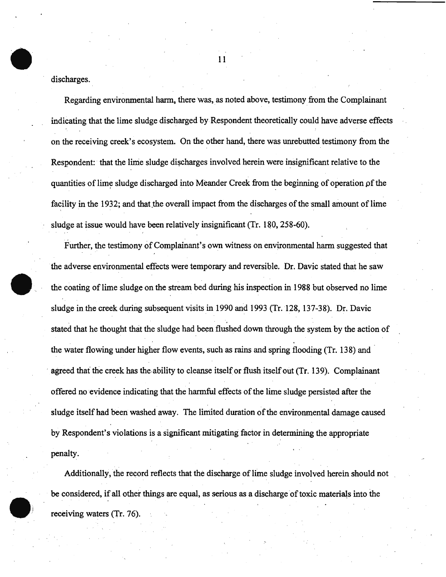discharges.

Regarding environmental harm, there was, as noted above, testimony from the Complainant indicating that the lime sludge discharged by Respondent theoretically could have adverse effects on the receiving creek's ecosystem. On the other hand, there was unrebutted testimony from the Respondent: that the lime sludge discharges involved herein were insignificant relative to the quantities of lime sludge discharged into Meander Creek from the beginning of operation of the facility in the 1932; and that the overall impact from the discharges of the small amount of lime sludge at issue would have been relatively insignificant (Tr. 180, 258-60).

Further, the testimony of Complainant's own witness on environmental harm suggested that the adverse environmental effects were temporary and reversible. Dr. Davic stated that he saw the coating of lime sludge on the stream bed during his inspection in 1988 but observed no lime sludge in the creek during subsequent visits in 1990 and 1993 (Tr. 128, 137-38). Dr. Davic stated that he thought that the sludge had been flushed down through the system by the action of the water flowing under higher flow events, such as rains and spring flooding (Tr. 138) and agreed that the creek has the ability to cleanse itself or flush itself out (Tr. 139). Complainant offered no evidence indicating that the harmful effects of the lime sludge persisted after the sludge itself had been washed away. The limited duration of the environmental damage caused by Respondent's violations is a significant mitigating factor in determining the appropriate penalty.

Additionally, the record reflects that the discharge of lime sludge involved herein should not be considered, if all other things are equal, as serious as a discharge of toxic materials into the receiving waters (Tr. 76).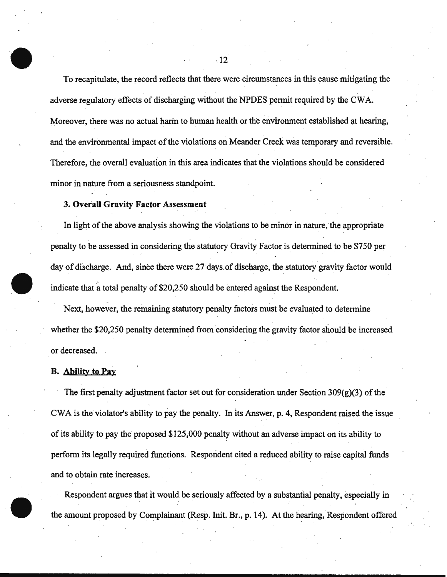To recapitulate, the record reflects that there were circumstances in this cause mitigating the adverse regulatory effects of discharging without the NPDES permit required by the CWA. Moreover, there was no actual harm to human health or the environment established at hearing, and the environmental impact of the violations on Meander Creek was temporary and reversible. Therefore, the overail evaluation in this area indicates that the violations should be considered minor in nature from a seriousness standpoint.

### 3. Overall Gravity Factor Assessment

In light of the above analysis showing the violations to be minor in nature, the appropriate penalty to be assessed in considering the statutory Gravity Factor is determined to be \$750 per day of discharge. And, since there were 27 days of discharge, the statutory gravity factor would indicate that a total penalty of \$20,250 should be entered against the Respondent.

Next, however, the remaining statutory penalty factors must be evaluated to determine whether the \$20,250 penalty determined from considering the gravity factor should be increased or decreased. .

#### B. Ability to Pay

The first penalty adjustment factor set out for consideration under Section  $309(g)(3)$  of the .CWA is the violator's ability to pay the penalty. In its Answer, p. 4, Respondent raised the issue of its ability to pay the proposed \$125,000 penalty without an adverse impact on its ability to perform its legally required functions. Respondent cited a reduced ability to raise capital funds and to obtain rate increases.

Respondent argues that it would be seriously affected by a substantial penalty, especially in the amount proposed by Complainant (Resp. Init. Br., p. 14). At the hearing, Respondent offered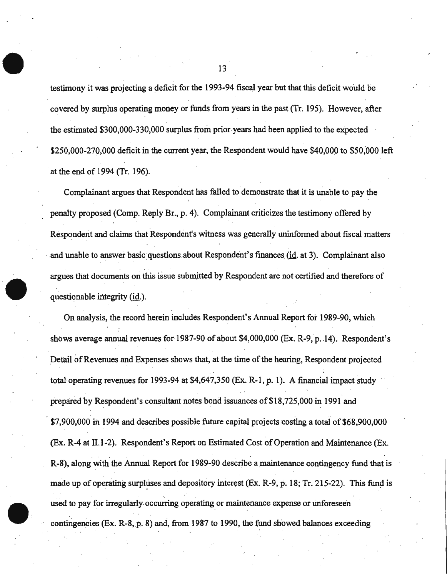testimony it was projecting a deficit for the 1993-94 fiscal year but that this deficit would be covered by surplus operating money or funds from years in the past (Tr; 195). However, after the estimated \$300,000-330,000 surplus from prior years had been applied to the expected \$250,000-270,000 deficit in the current year, the Respondent would have \$40,000 to \$50;ooo left at the end of 1994 (Tr. 196).

Complainant argues that Respondent has failed to demonstrate that it is unable to pay the penalty proposed (Comp. Reply Br., p. 4). Complainant criticizes the testimony offered by Respondent and claims that Respondent's witness was generally uninformed about fiscal matters and unable to answer basic questions about Respondent's finances (id. at 3). Complainant also . . argues that documents on this issue submitted by Respondent are not certified and therefore of questionable integrity (id.).

On analysis, the record herein includes Respondent's Annual Report for 1989-90, which shows average annual revenues for 1987-90 of about \$4,000,000 (Ex. R-9, p. 14). Respondent's Detail of Revenues and Expenses shows that, at the time of the hearing, Respondent projected total operating revenues for 1993-94 at \$4,647,350 (Ex. R-1, p. 1). A financial impact study prepared by Respondent's consultant notes bond issuances of\$18,725,000 in 1991 and \$7,900,000 in 1994 and describes possible future capital projects costing a total of \$68,900,000 (Ex. R-4 at 11.1-2). Respondent's Report on Estimated Cost of Operation and Maintenance (Ex. R-8), along with the Annual Report for 1989-90 describe a maintenance contingency fund that is made up of operating surpluses and depository interest  $(Ex. R-9, p; 18; Tr. 215-22)$ . This fund is used to pay for irregularly-occurring operating or maintenance expense or unforeseen contingencies (Ex. R-8, p. 8) and, from 1987 to 1990, the fund showed balances exceeding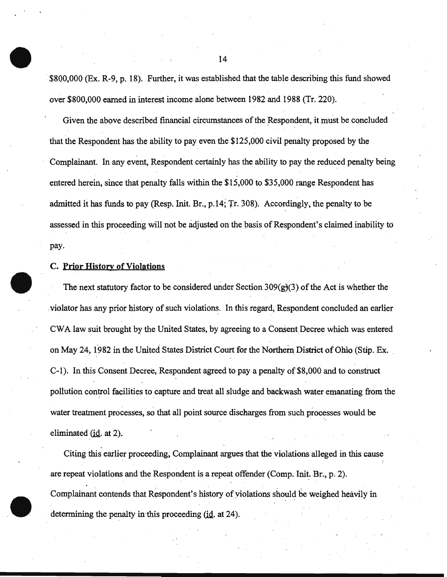\$800,000 (Ex. R-9, p. 18). Further, it was established that the table describing this fund showed over \$800,000 earned in interest income alone between 1982 and 1988 (Tr. 220).

Given the above described financial circumstances of the Respondent, it must be concluded that the Respondent has the ability to pay even the \$125,000 civil penalty proposed by the Complainant. In any event, Respondent certainly has the ability to pay the reduced penalty being entered herein, since that penalty falls within the \$15,000 to \$35,000 range Respondent has admitted it has funds to pay (Resp. Init. Br., p.14; 'fr. 308). Accordingly, the penalty to be assessed in this proceeding will not be adjusted on the basis of Respondent's claimed inability to pay.

#### C. Prior History of Violations

The next statutory factor to be considered under Section 309 $(g)(3)$  of the Act is whether the . violator has any prior history of such violations. In this regard, Respondent concluded an earlier CWA law suit brought by the United States, by agreeing to a Consent Decree which was entered on May 24, 1982 in the United States District Court for the Northern District of Ohio (Stip. Ex. C-1 ). In this Consent Decree, Respondent agreed to pay a penalty of \$8,000 and to construct pollution control facilities to capture and treat all sludge and backwash water emanating from the water treatment processes, so that all point source discharges from such processes would be eliminated  $(id. at 2)$ .

Citing this earlier proceeding, Complainant argues that the violations alleged in this cause are repeat violations and the Respondent is a repeat offender (Comp. Init. Br., p. 2). Complainant contends that Respondent's history of violations should be weighed heavily in determining the penalty in this proceeding  $(id.$  at 24).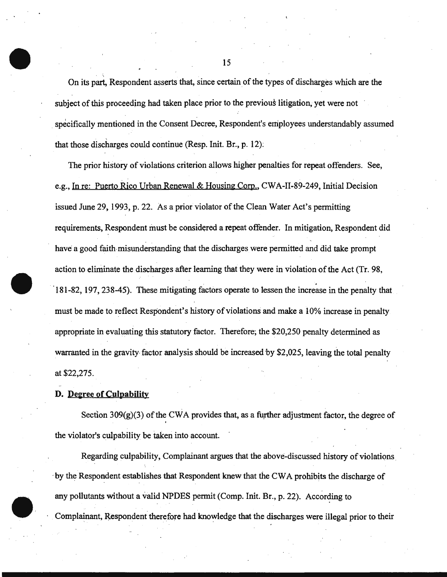On its part, Respondent asserts that, since certain of the types of discharges which are the subject of this proceeding had taken place prior to the previous litigation, yet were not specifically mentioned in the Consent Decree, Respondent's employees understandably assumed that those discharges could continue (Resp. Init. Br., p. 12):

The prior history of violations criterion allows higher penalties for repeat offenders. See, e.g., In re: Puerto Rico Urban Renewal & Housing Corp., CWA-II-89-249, Initial Decision issued June 29, 1993, p. 22. As a prior violator of the Clean Water Act's permitting requirements, Respondent must be considered a repeat offender. In mitigation, Respondent did have a good faith misunderstanding that the discharges were permitted and did take prompt action to eliminate the discharges after learning that they were in violation of the Act (Tr. 98, 181-82, 197, 238-45). These mitigating factors operate to lessen the increase in the penalty that must be made to reflect Respondent's history of violations and make a 10% increase in penalty appropriate in evaluating this statutory factor. Therefore; the \$20,250 penalty determined as warranted in the gravity factor analysis should be increased by \$2,025, leaving the total penalty at \$22,275.

#### **D. De2ree of Culpability**

Section  $309(g)(3)$  of the CWA provides that, as a further adjustment factor, the degree of the violator's culpability be taken into account.

Regarding culpability, Complainant argues that the above-discussed history of violations. ·by the Respondent establishes that Respondent knew that the CW A prohibits the discharge of any pollutants without a valid NPDES permit (Comp. Init. Br., p. 22). According to Complainant, Respondent therefore had knowledge that the discharges were illegal prior to their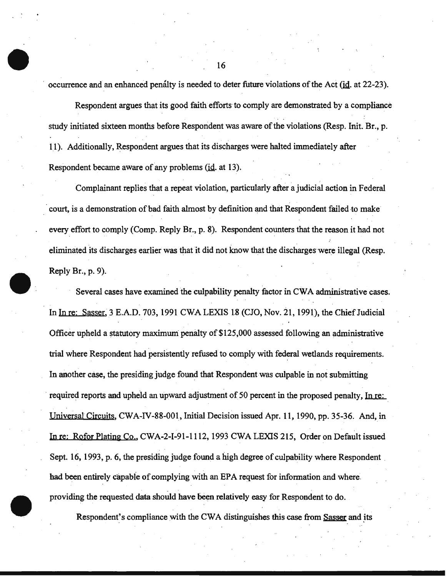occurrence and an enhanced penalty is needed to deter future violations of the Act (id. at 22-23).

Respondent argues that its good faith efforts to comply are demonstrated by a compliance study initiated sixteen months before Respondent was aware of the violations (Resp. Init. Br., p. 11). Additionally, Respondent argues that its discharges were halted immediately after . . Respondent became aware of any problems (id. at 13).

Complainant replies that a repeat violation, particularly after a judicial action in Federal court, is a demonstration of bad faith almost by definition and that Respondent failed to make every effort to comply (Comp. Reply Br., p. 8). Respondent counters that the reason it had not eliminated its discharges earlier was that it did not know that the discharges were illegal (Resp. Reply Br., p. 9).

Several cases have examined the culpability penalty factor in CWA administrative cases. In In re: Sasser, 3 E.A.D. 703, 1991 CWA LEXIS 18 (CJO, Nov. 21, 1991), the Chief Judicial Officer upheld a statutory maximum penalty of\$125,000 assessed following an administrative trial where Respondent had persistently refused to comply with federal wetlands requirements. In another case, the presiding judge found that Respondent was culpable in not submitting required reports and upheld an upward adjustment of 50 percent in the proposed penalty, In re: Universal Circuits, CWA-IV-88-001, Initial Decision issued Apr. 11, 1990, pp. 35-36. And, in In re: Rofor Plating Co., CWA-2-1-91-1112, 1993 CWA LEXIS 215, Order on Default issued Sept. 16, 1993, p. 6, the presiding judge found a high degree of culpability where Respondent had been entirely capable of complying with an EPA request for information and where. providing the requested data should have been relatively easy for Respondent to do.

Respondent's compliance with the CWA distinguishes this case from Sasser and its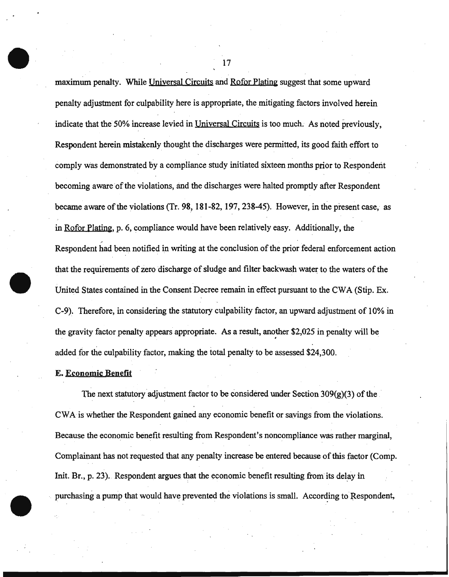maximum penalty. While Universal Circuits and Rofor Plating suggest that some upward penalty adjustment for culpability here is appropriate, the mitigating factors involved herein indicate that the 50% increase levied in Universal Circuits is too much. As noted previously, Respondent herein mistakenly thought the discharges were permitted, its good faith effort to comply was demonstrated by a compliance study initiated sixteen months prior to Respondent becoming aware of the violations, and the discharges were halted promptly after Respondent became aware of the violations (Tr. 98, 181-82, 197, 238-45). However, in the present case, as in Rofor Plating, p. 6, compliance would have been relatively easy. Additionally, the Respondent had been notified in writing at the conclusion of the prior federal enforcement action that the requirements of zero discharge of sludge and filter backwash water to the waters of the United States contained in the Consent Decree remain in effect pursuant to the CWA (Stip. Ex. C-9). Therefore, in considering the statutory culpability factor, an upward adjustment of 10% in the gravity factor penalty appears appropriate. As a result, another \$2,025 in penalty will be added for the culpability factor, making the total penalty to be assessed \$24,300.

#### E. Economic Benefit

The next statutory adjustment factor to be considered under Section  $309(g)(3)$  of the CW A is whether the Respondent gained any economic benefit or savings from the violations. Because the economic benefit resulting from Respondent's noncompliance was rather marginal, Complainant has not requested that any penalty increase be entered because of this factor (Comp. Init. Br., p. 23). Respondent argues that the economic benefit resulting from its delay in purchasing a pump that would have prevented the violations is small. According to Respondent,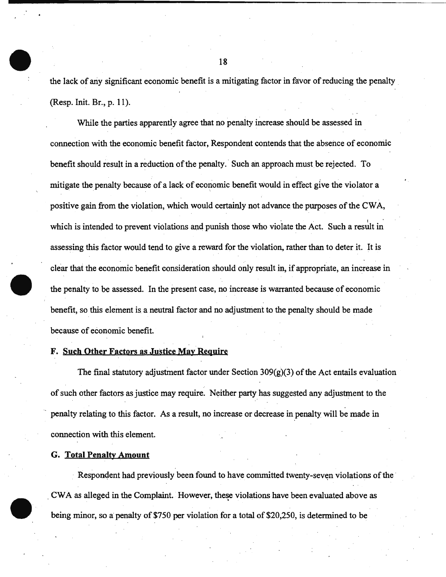the lack of any significant economic benefit is a mitigating factor in favor of reducing the penalty (Resp. Init. Br., p. 11).

While the parties apparently agree that no penalty increase should be assessed in connection with the economic benefit factor, Respondent contends that the absence of economic benefit should result in a reduction of the penalty .. Such an approach must be rejected. To mitigate the penalty because of a lack of economic benefit would in effect give the violator a positive gain from the violation, which would certainly not advance the purposes of the CWA, which is intended to prevent violations and punish those who violate the Act. Such a result in assessing this factor would tend to give a reward for the violation, rather than to deter it. It is clear that the economic benefit consideration should only result in, if appropriate, an increase in the penalty to be assessed. In the present case, no increase is warranted because of economic benefit, so this element is a neutral factor and no adjustment to the penalty should be made because of economic benefit.

#### F. Such Other Factors as Justice May Require

The final statutory adjustment factor under Section  $309(g)(3)$  of the Act entails evaluation of such other factors.as justice may require. Neither party has suggested any adjustment to the penalty relating to this factor. As a result, no increase or decrease in penalty will be made in connection with this element.

#### G. Total Penalty Amount

Respondent had previously been found to have committed twenty-seven violations of the CWA as alleged in the Complaint. However, these violations have been evaluated above as being minor, so a penalty of \$750 per violation for a total of \$20,250, is determined to be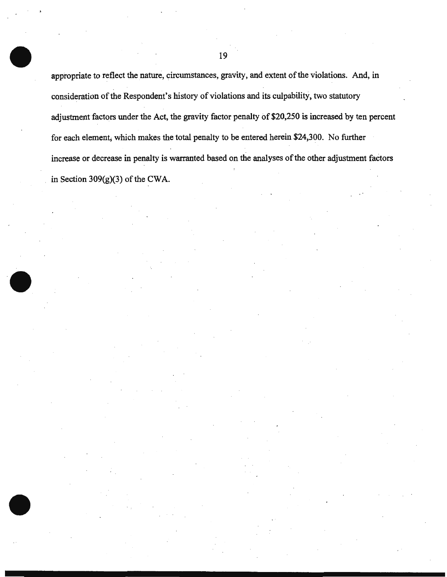appropriate to reflect the nature, circumstances, gravity, and extent of the violations. And, in consideration of the Respondent's history of violations and its culpability, two statutory adjustment factors under the Act, the gravity factor penalty of \$20,250 is increased by ten percent for each element; which makes the total penalty to be entered herein \$24,300. No further increase or decrease in penalty is warranted based on the analyses of the other adjustment faetors in Section 309(g)(3) of the CWA.